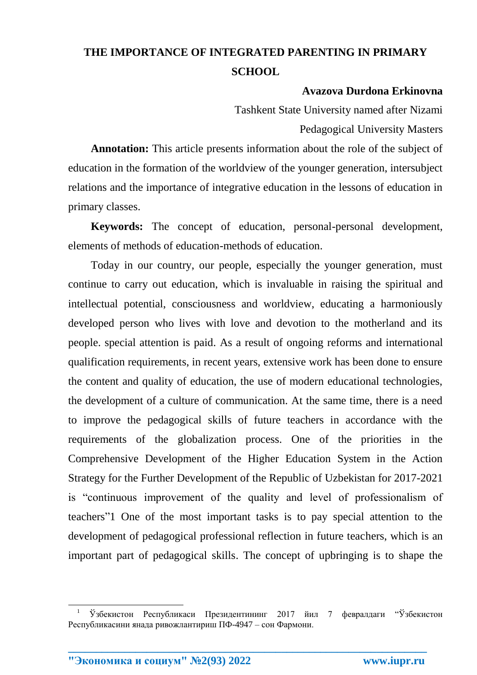## **THE IMPORTANCE OF INTEGRATED PARENTING IN PRIMARY SCHOOL**

## **Avazova Durdona Erkinovna**

Tashkent State University named after Nizami Pedagogical University Masters

**Annotation:** This article presents information about the role of the subject of education in the formation of the worldview of the younger generation, intersubject relations and the importance of integrative education in the lessons of education in primary classes.

**Keywords:** The concept of education, personal-personal development, elements of methods of education-methods of education.

Today in our country, our people, especially the younger generation, must continue to carry out education, which is invaluable in raising the spiritual and intellectual potential, consciousness and worldview, educating a harmoniously developed person who lives with love and devotion to the motherland and its people. special attention is paid. As a result of ongoing reforms and international qualification requirements, in recent years, extensive work has been done to ensure the content and quality of education, the use of modern educational technologies, the development of a culture of communication. At the same time, there is a need to improve the pedagogical skills of future teachers in accordance with the requirements of the globalization process. One of the priorities in the Comprehensive Development of the Higher Education System in the Action Strategy for the Further Development of the Republic of Uzbekistan for 2017-2021 is "continuous improvement of the quality and level of professionalism of teachers"1 One of the most important tasks is to pay special attention to the development of pedagogical professional reflection in future teachers, which is an important part of pedagogical skills. The concept of upbringing is to shape the

**\_\_\_\_\_\_\_\_\_\_\_\_\_\_\_\_\_\_\_\_\_\_\_\_\_\_\_\_\_\_\_\_\_\_\_\_\_\_\_\_\_\_\_\_\_\_\_\_\_\_\_\_\_\_\_\_\_\_\_\_\_\_\_\_**

**"Экономика и социум" №2(93) 2022 www.iupr.ru**

**.** 

<sup>1</sup> Ўзбекистон Республикаси Президентининг 2017 йил 7 февралдаги "Ўзбекистон Республикасини янада ривожлантириш ПФ-4947 – сон Фармони.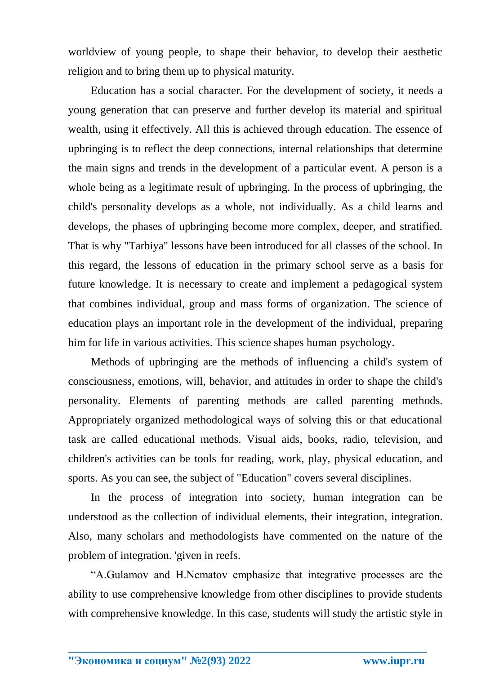worldview of young people, to shape their behavior, to develop their aesthetic religion and to bring them up to physical maturity.

Education has a social character. For the development of society, it needs a young generation that can preserve and further develop its material and spiritual wealth, using it effectively. All this is achieved through education. The essence of upbringing is to reflect the deep connections, internal relationships that determine the main signs and trends in the development of a particular event. A person is a whole being as a legitimate result of upbringing. In the process of upbringing, the child's personality develops as a whole, not individually. As a child learns and develops, the phases of upbringing become more complex, deeper, and stratified. That is why "Tarbiya" lessons have been introduced for all classes of the school. In this regard, the lessons of education in the primary school serve as a basis for future knowledge. It is necessary to create and implement a pedagogical system that combines individual, group and mass forms of organization. The science of education plays an important role in the development of the individual, preparing him for life in various activities. This science shapes human psychology.

Methods of upbringing are the methods of influencing a child's system of consciousness, emotions, will, behavior, and attitudes in order to shape the child's personality. Elements of parenting methods are called parenting methods. Appropriately organized methodological ways of solving this or that educational task are called educational methods. Visual aids, books, radio, television, and children's activities can be tools for reading, work, play, physical education, and sports. As you can see, the subject of "Education" covers several disciplines.

In the process of integration into society, human integration can be understood as the collection of individual elements, their integration, integration. Also, many scholars and methodologists have commented on the nature of the problem of integration. 'given in reefs.

"A.Gulamov and H.Nematov emphasize that integrative processes are the ability to use comprehensive knowledge from other disciplines to provide students with comprehensive knowledge. In this case, students will study the artistic style in

**\_\_\_\_\_\_\_\_\_\_\_\_\_\_\_\_\_\_\_\_\_\_\_\_\_\_\_\_\_\_\_\_\_\_\_\_\_\_\_\_\_\_\_\_\_\_\_\_\_\_\_\_\_\_\_\_\_\_\_\_\_\_\_\_**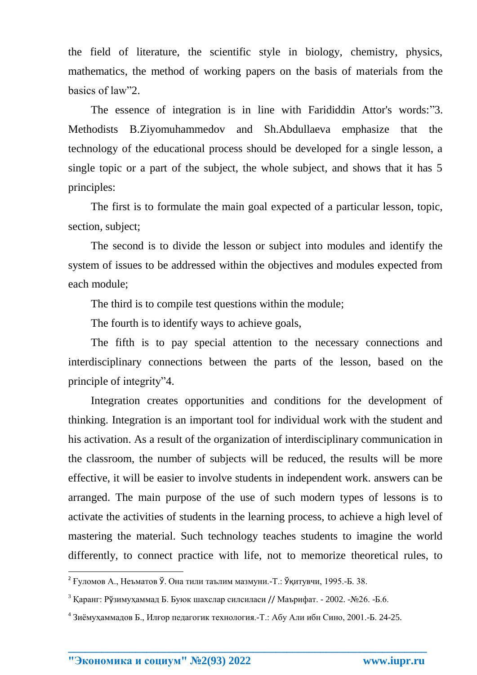the field of literature, the scientific style in biology, chemistry, physics, mathematics, the method of working papers on the basis of materials from the basics of law"2.

The essence of integration is in line with Farididdin Attor's words:"3. Methodists B.Ziyomuhammedov and Sh.Abdullaeva emphasize that the technology of the educational process should be developed for a single lesson, a single topic or a part of the subject, the whole subject, and shows that it has 5 principles:

The first is to formulate the main goal expected of a particular lesson, topic, section, subject;

The second is to divide the lesson or subject into modules and identify the system of issues to be addressed within the objectives and modules expected from each module;

The third is to compile test questions within the module;

The fourth is to identify ways to achieve goals,

The fifth is to pay special attention to the necessary connections and interdisciplinary connections between the parts of the lesson, based on the principle of integrity"4.

Integration creates opportunities and conditions for the development of thinking. Integration is an important tool for individual work with the student and his activation. As a result of the organization of interdisciplinary communication in the classroom, the number of subjects will be reduced, the results will be more effective, it will be easier to involve students in independent work. answers can be arranged. The main purpose of the use of such modern types of lessons is to activate the activities of students in the learning process, to achieve a high level of mastering the material. Such technology teaches students to imagine the world differently, to connect practice with life, not to memorize theoretical rules, to

**\_\_\_\_\_\_\_\_\_\_\_\_\_\_\_\_\_\_\_\_\_\_\_\_\_\_\_\_\_\_\_\_\_\_\_\_\_\_\_\_\_\_\_\_\_\_\_\_\_\_\_\_\_\_\_\_\_\_\_\_\_\_\_\_**

 2 Ғуломов А., Неъматов Ў. Она тили таълим мазмуни.-Т.: Ўқитувчи, 1995.-Б. 38.

<sup>&</sup>lt;sup>3</sup> Қаранг: Рўзимухаммад Б. Буюк шахслар силсиласи // Маърифат. - 2002. -№26. -Б.6.

<sup>&</sup>lt;sup>4</sup> Зиёмухаммадов Б., Илғор педагогик технология.-Т.: Абу Али ибн Сино, 2001.-Б. 24-25.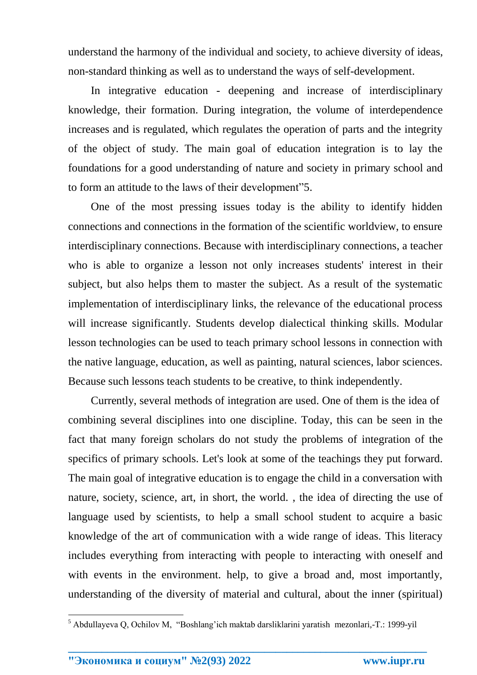understand the harmony of the individual and society, to achieve diversity of ideas, non-standard thinking as well as to understand the ways of self-development.

In integrative education - deepening and increase of interdisciplinary knowledge, their formation. During integration, the volume of interdependence increases and is regulated, which regulates the operation of parts and the integrity of the object of study. The main goal of education integration is to lay the foundations for a good understanding of nature and society in primary school and to form an attitude to the laws of their development"5.

One of the most pressing issues today is the ability to identify hidden connections and connections in the formation of the scientific worldview, to ensure interdisciplinary connections. Because with interdisciplinary connections, a teacher who is able to organize a lesson not only increases students' interest in their subject, but also helps them to master the subject. As a result of the systematic implementation of interdisciplinary links, the relevance of the educational process will increase significantly. Students develop dialectical thinking skills. Modular lesson technologies can be used to teach primary school lessons in connection with the native language, education, as well as painting, natural sciences, labor sciences. Because such lessons teach students to be creative, to think independently.

Currently, several methods of integration are used. One of them is the idea of combining several disciplines into one discipline. Today, this can be seen in the fact that many foreign scholars do not study the problems of integration of the specifics of primary schools. Let's look at some of the teachings they put forward. The main goal of integrative education is to engage the child in a conversation with nature, society, science, art, in short, the world. , the idea of directing the use of language used by scientists, to help a small school student to acquire a basic knowledge of the art of communication with a wide range of ideas. This literacy includes everything from interacting with people to interacting with oneself and with events in the environment. help, to give a broad and, most importantly, understanding of the diversity of material and cultural, about the inner (spiritual)

**\_\_\_\_\_\_\_\_\_\_\_\_\_\_\_\_\_\_\_\_\_\_\_\_\_\_\_\_\_\_\_\_\_\_\_\_\_\_\_\_\_\_\_\_\_\_\_\_\_\_\_\_\_\_\_\_\_\_\_\_\_\_\_\_**

1

<sup>&</sup>lt;sup>5</sup> Abdullayeva Q, Ochilov M, "Boshlang'ich maktab darsliklarini yaratish mezonlari,-T.: 1999-yil